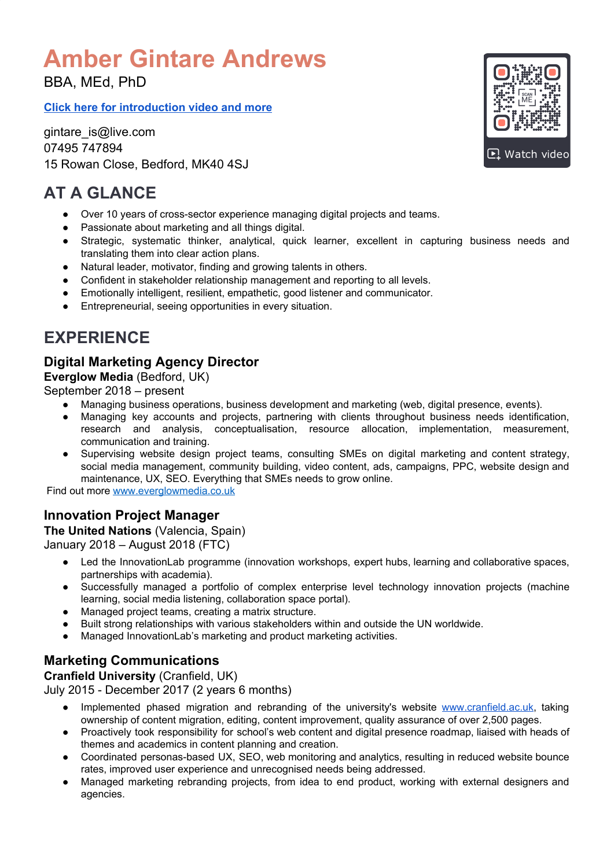# **Amber Gintare Andrews**

BBA, MEd, PhD

**Click here for [introduction](https://www.everglowconsulting.co.uk/gintare-andrews) video and more**

gintare\_is@live.com 07495 747894 15 Rowan Close, Bedford, MK40 4SJ

# **AT A GLANCE**

- Over 10 years of cross-sector experience managing digital projects and teams.
- Passionate about marketing and all things digital.
- Strategic, systematic thinker, analytical, quick learner, excellent in capturing business needs and translating them into clear action plans.
- Natural leader, motivator, finding and growing talents in others.
- Confident in stakeholder relationship management and reporting to all levels.
- Emotionally intelligent, resilient, empathetic, good listener and communicator.
- Entrepreneurial, seeing opportunities in every situation.

# **EXPERIENCE**

## **Digital Marketing Agency Director**

**Everglow Media** (Bedford, UK)

September 2018 – present

- Managing business operations, business development and marketing (web, digital presence, events).
- Managing key accounts and projects, partnering with clients throughout business needs identification, research and analysis, conceptualisation, resource allocation, implementation, measurement, communication and training.
- Supervising website design project teams, consulting SMEs on digital marketing and content strategy, social media management, community building, video content, ads, campaigns, PPC, website design and maintenance, UX, SEO. Everything that SMEs needs to grow online.

Find out more [www.everglowmedia.co.uk](http://www.everglowconsulting.co.uk/)

### **Innovation Project Manager**

#### **The United Nations** (Valencia, Spain) January 2018 – August 2018 (FTC)

- Led the InnovationLab programme (innovation workshops, expert hubs, learning and collaborative spaces, partnerships with academia).
- Successfully managed a portfolio of complex enterprise level technology innovation projects (machine learning, social media listening, collaboration space portal).
- Managed project teams, creating a matrix structure.
- Built strong relationships with various stakeholders within and outside the UN worldwide.
- Managed InnovationLab's marketing and product marketing activities.

### **Marketing Communications**

#### **Cranfield University** (Cranfield, UK)

July 2015 - December 2017 (2 years 6 months)

- Implemented phased migration and rebranding of the university's website [www.cranfield.ac.uk](http://www.cranfield.ac.uk/), taking ownership of content migration, editing, content improvement, quality assurance of over 2,500 pages.
- Proactively took responsibility for school's web content and digital presence roadmap, liaised with heads of themes and academics in content planning and creation.
- Coordinated personas-based UX, SEO, web monitoring and analytics, resulting in reduced website bounce rates, improved user experience and unrecognised needs being addressed.
- Managed marketing rebranding projects, from idea to end product, working with external designers and agencies.